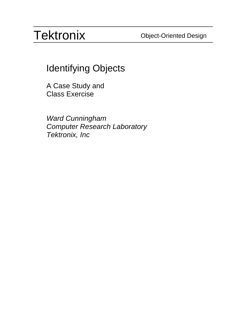Identifying Objects

A Case Study and Class Exercise

*Ward Cunningham Computer Research Laboratory Tektronix, Inc*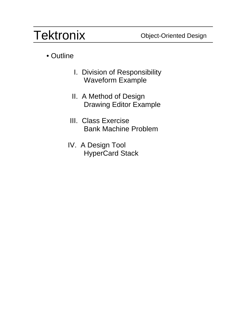### • Outline

- I. Division of Responsibility Waveform Example
- II. A Method of Design Drawing Editor Example
- III. Class Exercise Bank Machine Problem
- IV. A Design Tool HyperCard Stack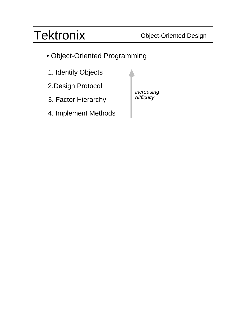- Object-Oriented Programming
- 1. Identify Objects
- 2.Design Protocol
- 3. Factor Hierarchy
- 4. Implement Methods

*increasing difficulty*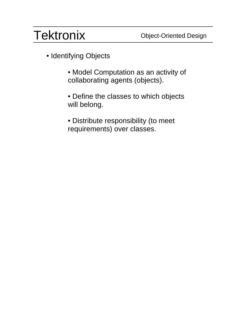- Identifying Objects
	- Model Computation as an activity of collaborating agents (objects).
	- Define the classes to which objects will belong.
	- Distribute responsibility (to meet requirements) over classes.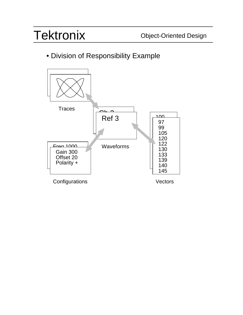### • Division of Responsibility Example

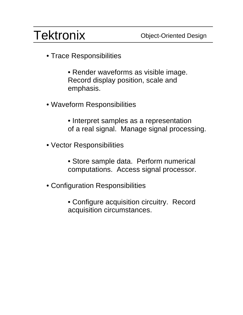- Trace Responsibilities
	- Render waveforms as visible image. Record display position, scale and emphasis.
- Waveform Responsibilities
	- Interpret samples as a representation of a real signal. Manage signal processing.
- Vector Responsibilities
	- Store sample data. Perform numerical computations. Access signal processor.
- Configuration Responsibilities
	- Configure acquisition circuitry. Record acquisition circumstances.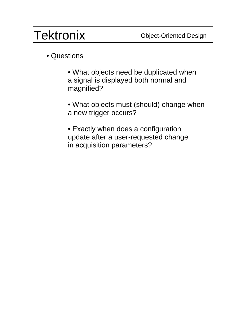### • Questions

- What objects need be duplicated when a signal is displayed both normal and magnified?
- What objects must (should) change when a new trigger occurs?
- Exactly when does a configuration update after a user-requested change in acquisition parameters?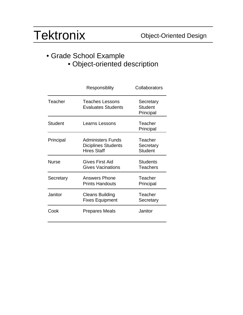#### • Grade School Example • Object-oriented description

|              | Responsiblity                                                         | Collaborators                            |
|--------------|-----------------------------------------------------------------------|------------------------------------------|
| Teacher      | Teaches Lessons<br><b>Evaluates Students</b>                          | Secretary<br><b>Student</b><br>Principal |
| Student      | <b>Learns Lessons</b>                                                 | Teacher<br>Principal                     |
| Principal    | Administers Funds<br><b>Diciplines Students</b><br><b>Hires Staff</b> | Teacher<br>Secretary<br><b>Student</b>   |
| <b>Nurse</b> | Gives First Aid<br><b>Gives Vacinations</b>                           | <b>Students</b><br><b>Teachers</b>       |
| Secretary    | <b>Answers Phone</b><br><b>Prints Handouts</b>                        | Teacher<br>Principal                     |
| Janitor      | <b>Cleans Building</b><br><b>Fixes Equipment</b>                      | Teacher<br>Secretary                     |
| Cook         | <b>Prepares Meals</b>                                                 | Janitor                                  |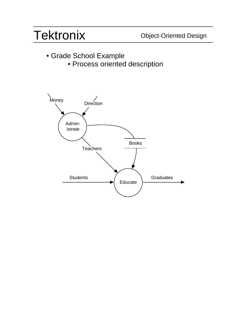- Grade School Example
	- Process oriented description

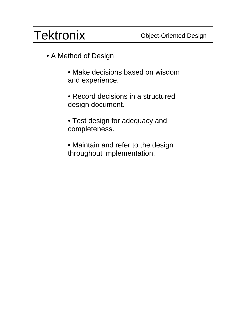- A Method of Design
	- Make decisions based on wisdom and experience.
	- Record decisions in a structured design document.
	- Test design for adequacy and completeness.
	- Maintain and refer to the design throughout implementation.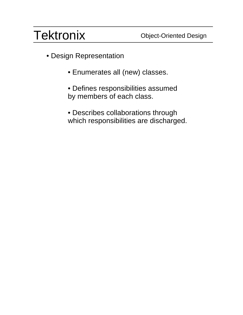- Design Representation
	- Enumerates all (new) classes.
	- Defines responsibilities assumed by members of each class.
	- Describes collaborations through which responsibilities are discharged.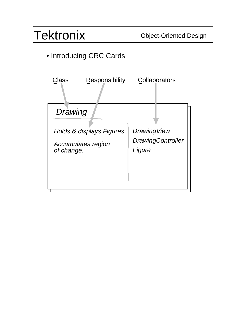### • Introducing CRC Cards

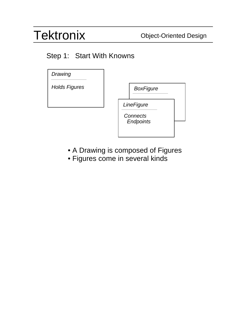#### Step 1: Start With Knowns



- A Drawing is composed of Figures
- Figures come in several kinds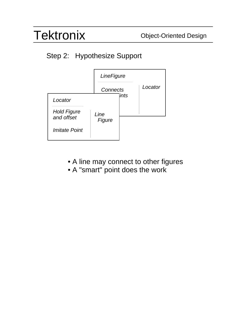### Step 2: Hypothesize Support



- A line may connect to other figures
- A "smart" point does the work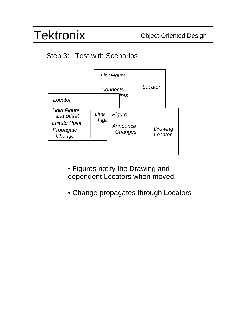#### Step 3: Test with Scenarios



- Figures notify the Drawing and dependent Locators when moved.
- Change propagates through Locators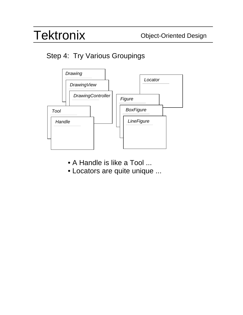### Step 4: Try Various Groupings



- A Handle is like a Tool ...
- Locators are quite unique ...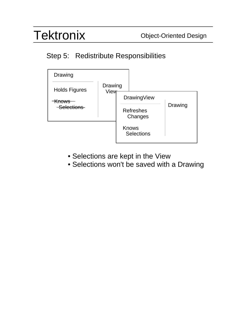### Step 5: Redistribute Responsibilities



- Selections are kept in the View
- Selections won't be saved with a Drawing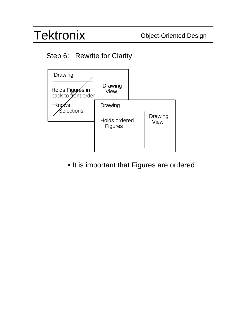### Step 6: Rewrite for Clarity



• It is important that Figures are ordered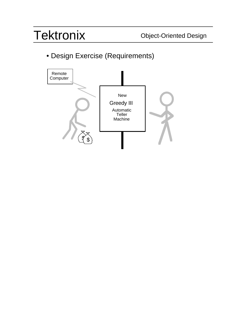• Design Exercise (Requirements)

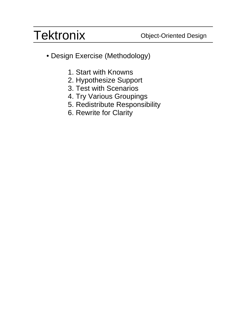- Design Exercise (Methodology)
	- 1. Start with Knowns
	- 2. Hypothesize Support
	- 3. Test with Scenarios
	- 4. Try Various Groupings
	- 5. Redistribute Responsibility
	- 6. Rewrite for Clarity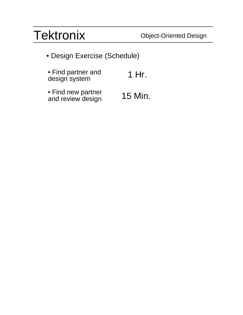• Design Exercise (Schedule)

| • Find partner and | 1 Hr. |
|--------------------|-------|
| design system      |       |

• Find new partner and review design 15 Min.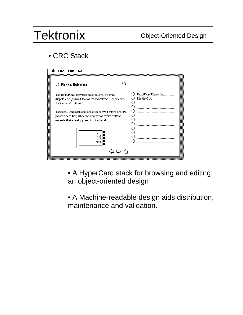### • CRC Stack

| Edit<br>File<br>ĥО                                                                                                                                                                              |                                          |
|-------------------------------------------------------------------------------------------------------------------------------------------------------------------------------------------------|------------------------------------------|
| ○ BezelMenu                                                                                                                                                                                     |                                          |
| The BezelMenu provides an extra level of event<br>dispatching (beyond that of the FrontPanel-Dispatcher)<br>for the bezel buttons.                                                              | FrontPanelDispatcher<br>DisplayList<br>O |
| The BezelMenu displays labels for active buttons and will<br>provide scrolling when the number of active buttons<br>exceeds that actually present in the bezel.<br>ref1<br>ref2<br>ref3<br>ref4 | О<br>Ω<br>ເາ                             |
|                                                                                                                                                                                                 |                                          |

- A HyperCard stack for browsing and editing an object-oriented design
- A Machine-readable design aids distribution, maintenance and validation.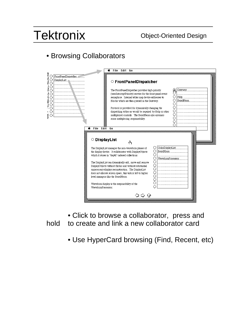#### • Browsing Collaborators

|                                                                                  | File Edit Go<br>ź                                                                                                                                                                                                                                                                                                                                                                                                                                                                                                                                                                                                                                                                                   |  |
|----------------------------------------------------------------------------------|-----------------------------------------------------------------------------------------------------------------------------------------------------------------------------------------------------------------------------------------------------------------------------------------------------------------------------------------------------------------------------------------------------------------------------------------------------------------------------------------------------------------------------------------------------------------------------------------------------------------------------------------------------------------------------------------------------|--|
| ł<br>FrontPanelDispatcher #<br>tan dan di<br>O<br>DisplayList<br>O               | ○ FrontPanelDispatcher                                                                                                                                                                                                                                                                                                                                                                                                                                                                                                                                                                                                                                                                              |  |
| $^{\circ}$<br>l<br>О<br>$\circ$<br>О<br>$\circ$<br>O<br>О<br>.,<br>О<br>÷,<br>i. | Gateway<br>The FrontPanelDispatcher provides high-priority<br>(userInterruptPriority) service for the front-panel-event<br>O<br>Help<br>semaphore. Internal tables map device addresses to<br>О<br>BezelMenu<br>Blocks which are then queued in the Gateway.<br>О<br>O<br>Protocol is provided for dynamically changing the<br>О<br>dispatching tables as would be required by Help or other<br>О<br>multiplexed controls. The BezelMenu also assumes<br>О<br>some multiplexing responsability.<br>О<br>∩                                                                                                                                                                                           |  |
|                                                                                  | File Edit Go<br>é.<br>O DisplayList<br>∢₩η<br>ColorDisplayList<br>O<br>The DisplayList manages the non-waveform planes of<br>O<br>BezelMenu<br>the display device. It collaborates with DisplayObjects<br>O<br>which it stores in "depth" ordered collections.<br>O<br>WaveformProcessor<br>$\circ$<br>The DisplayList can dynamically add, move and remove<br>O<br>DisplayObjects without flicker and without substantial<br>O<br>unnecessary display reconstruction. The DisplayList<br>$\circ$<br>does not allocate screen space, this task is left to higher<br>О<br>level managers like the BezelMenu.<br>O<br>Ο<br>Waveform display is the responsibility of the<br>WaveformProcessor.<br>やつひ |  |

• Click to browse a collaborator, press and hold to create and link a new collaborator card

• Use HyperCard browsing (Find, Recent, etc)